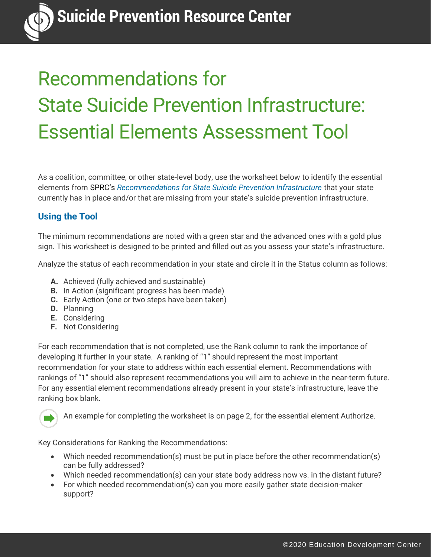# Recommendations for State Suicide Prevention Infrastructure: Essential Elements Assessment Tool

As a coalition, committee, or other state-level body, use the worksheet below to identify the essential elements from SPRC's *[Recommendations for State Suicide Prevention Infrastructure](http://www.sprc.org/state-infrastructure)* that your state currently has in place and/or that are missing from your state's suicide prevention infrastructure.

# **Using the Tool**

The minimum recommendations are noted with a green star and the advanced ones with a gold plus sign. This worksheet is designed to be printed and filled out as you assess your state's infrastructure.

Analyze the status of each recommendation in your state and circle it in the Status column as follows:

- **A.** Achieved (fully achieved and sustainable)
- **B.** In Action (significant progress has been made)
- **C.** Early Action (one or two steps have been taken)
- **D.** Planning
- **E.** Considering
- **F.** Not Considering

For each recommendation that is not completed, use the Rank column to rank the importance of developing it further in your state. A ranking of "1" should represent the most important recommendation for your state to address within each essential element. Recommendations with rankings of "1" should also represent recommendations you will aim to achieve in the near-term future. For any essential element recommendations already present in your state's infrastructure, leave the ranking box blank.



An example for completing the worksheet is on page 2, for the essential element Authorize.

Key Considerations for Ranking the Recommendations:

- Which needed recommendation(s) must be put in place before the other recommendation(s) can be fully addressed?
- Which needed recommendation(s) can your state body address now vs. in the distant future?
- For which needed recommendation(s) can you more easily gather state decision-maker support?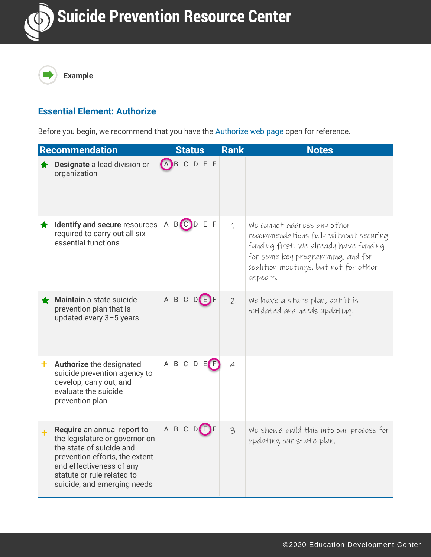

## **Essential Element: Authorize**

Before you begin, we recommend that you have the **Authorize web page open for reference**.

| Recommendation                                                                                                                                                                                                       | <b>Status</b>       | <b>Rank</b>     | <b>Notes</b>                                                                                                                                                                                              |
|----------------------------------------------------------------------------------------------------------------------------------------------------------------------------------------------------------------------|---------------------|-----------------|-----------------------------------------------------------------------------------------------------------------------------------------------------------------------------------------------------------|
| Designate a lead division or<br>organization                                                                                                                                                                         | <b>BCDEF</b><br>(A) |                 |                                                                                                                                                                                                           |
| Identify and secure resources<br>required to carry out all six<br>essential functions                                                                                                                                | A B C D<br>E F      | 1               | We cannot address any other<br>recommendations fully without securing<br>funding first. We already have funding<br>for some key programming, and for<br>coalition meetings, but not for other<br>aspects. |
| Maintain a state suicide<br>prevention plan that is<br>updated every 3-5 years                                                                                                                                       | A B C D E F         | $2\overline{ }$ | We have a state plan, but it is<br>outdated and needs updating.                                                                                                                                           |
| + Authorize the designated<br>suicide prevention agency to<br>develop, carry out, and<br>evaluate the suicide<br>prevention plan                                                                                     | A B C D E F         | $\overline{4}$  |                                                                                                                                                                                                           |
| Require an annual report to<br>the legislature or governor on<br>the state of suicide and<br>prevention efforts, the extent<br>and effectiveness of any<br>statute or rule related to<br>suicide, and emerging needs | A B C D E F         | 3               | We should build this into our process for<br>updating our state plan.                                                                                                                                     |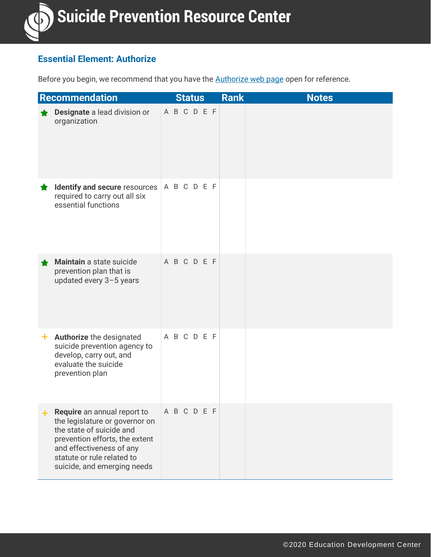

#### **Essential Element: Authorize**

Before you begin, we recommend that you have the **Authorize web page open for reference**.

|       | Recommendation                                                                                                                                                                                                       |  | <b>Status</b> |  | <b>Rank</b> | <b>Notes</b> |
|-------|----------------------------------------------------------------------------------------------------------------------------------------------------------------------------------------------------------------------|--|---------------|--|-------------|--------------|
|       | Designate a lead division or<br>organization                                                                                                                                                                         |  | ABCDEF        |  |             |              |
|       | <b>Identify and secure</b> resources $\begin{bmatrix} A & B & C & D & E & F \end{bmatrix}$<br>required to carry out all six<br>essential functions                                                                   |  |               |  |             |              |
|       | Maintain a state suicide<br>prevention plan that is<br>updated every 3-5 years                                                                                                                                       |  | A B C D E F   |  |             |              |
| $+$ . | Authorize the designated<br>suicide prevention agency to<br>develop, carry out, and<br>evaluate the suicide<br>prevention plan                                                                                       |  | A B C D E F   |  |             |              |
| $+$   | Require an annual report to<br>the legislature or governor on<br>the state of suicide and<br>prevention efforts, the extent<br>and effectiveness of any<br>statute or rule related to<br>suicide, and emerging needs |  | A B C D E F   |  |             |              |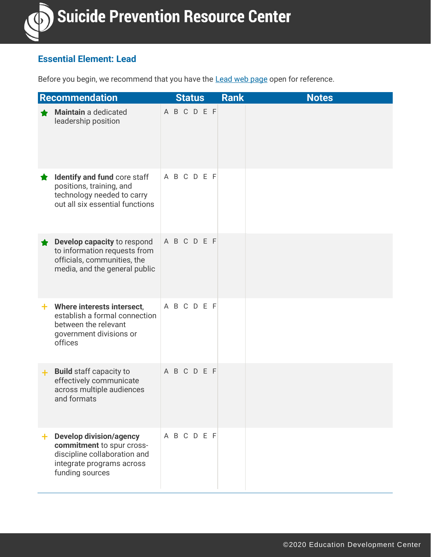

## **Essential Element: Lead**

Before you begin, we recommend that you have the **Lead [web page](http://www.sprc.org/stateInfrastructure/lead) open for reference**.

|     | Recommendation                                                                                                                              |             | <b>Status</b> |  | <b>Rank</b> |  | <b>Notes</b> |  |  |
|-----|---------------------------------------------------------------------------------------------------------------------------------------------|-------------|---------------|--|-------------|--|--------------|--|--|
|     | <b>Maintain</b> a dedicated<br>leadership position                                                                                          | A B C D E F |               |  |             |  |              |  |  |
| Ħ.  | Identify and fund core staff<br>positions, training, and<br>technology needed to carry<br>out all six essential functions                   | A B C D E F |               |  |             |  |              |  |  |
|     | Develop capacity to respond<br>to information requests from<br>officials, communities, the<br>media, and the general public                 | A B C D E F |               |  |             |  |              |  |  |
|     | $+$ Where interests intersect,<br>establish a formal connection<br>between the relevant<br>government divisions or<br>offices               | A B C D E F |               |  |             |  |              |  |  |
| $+$ | <b>Build staff capacity to</b><br>effectively communicate<br>across multiple audiences<br>and formats                                       | A B C D E F |               |  |             |  |              |  |  |
| ÷.  | <b>Develop division/agency</b><br>commitment to spur cross-<br>discipline collaboration and<br>integrate programs across<br>funding sources | A B C D E F |               |  |             |  |              |  |  |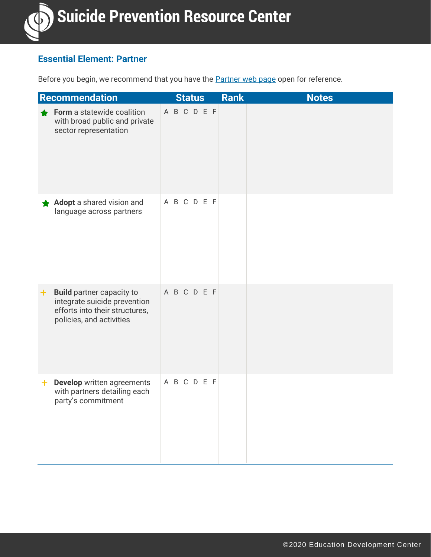

## **Essential Element: Partner**

Before you begin, we recommend that you have the **Partner [web page](http://www.sprc.org/stateInfrastructure/partner)** open for reference.

| Recommendation                                                                                                                       | <b>Status</b> | <b>Notes</b><br><b>Rank</b> |
|--------------------------------------------------------------------------------------------------------------------------------------|---------------|-----------------------------|
| Form a statewide coalition<br>with broad public and private<br>sector representation                                                 | ABCDEF        |                             |
| Adopt a shared vision and<br>language across partners                                                                                | A B C D E F   |                             |
| <b>Build partner capacity to</b><br>٠.<br>integrate suicide prevention<br>efforts into their structures,<br>policies, and activities | A B C D E F   |                             |
| Develop written agreements<br>÷.<br>with partners detailing each<br>party's commitment                                               | A B C D E F   |                             |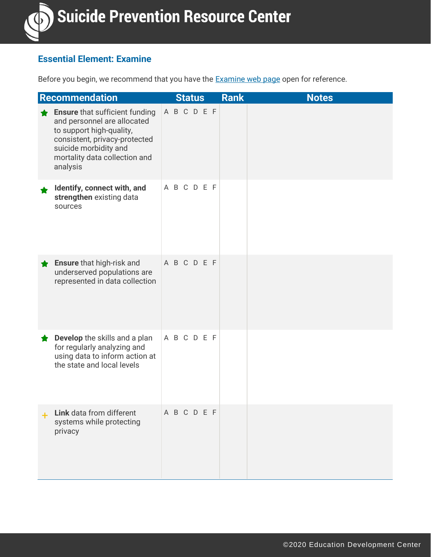

#### **Essential Element: Examine**

Before you begin, we recommend that you have the **Examine [web page](http://www.sprc.org/stateInfrastructure/examine) open for reference**.

| <b>Recommendation</b>                                                                                                                                                                                   |             | <b>Status</b> |  | <b>Rank</b> | <b>Notes</b> |
|---------------------------------------------------------------------------------------------------------------------------------------------------------------------------------------------------------|-------------|---------------|--|-------------|--------------|
| <b>Ensure that sufficient funding</b><br>and personnel are allocated<br>to support high-quality,<br>consistent, privacy-protected<br>suicide morbidity and<br>mortality data collection and<br>analysis | A B C D E F |               |  |             |              |
| Identify, connect with, and<br>strengthen existing data<br>sources                                                                                                                                      | A B C D E F |               |  |             |              |
| <b>Ensure that high-risk and</b><br>underserved populations are<br>represented in data collection                                                                                                       | A B C D E F |               |  |             |              |
| Develop the skills and a plan<br>for regularly analyzing and<br>using data to inform action at<br>the state and local levels                                                                            | A B C D E F |               |  |             |              |
| Link data from different<br>systems while protecting<br>privacy                                                                                                                                         | A B C D E F |               |  |             |              |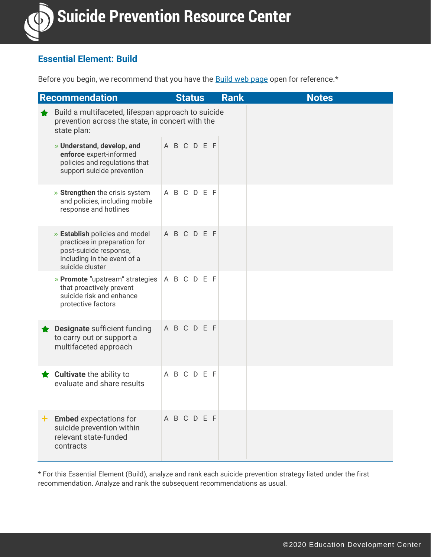## **Essential Element: Build**

Before you begin, we recommend that you have the **Build [web page](http://www.sprc.org/stateInfrastructure/build) open for reference**.\*

| <b>Recommendation</b>                                                                                                                      |             | <b>Status</b> | <b>Rank</b> | <b>Notes</b> |
|--------------------------------------------------------------------------------------------------------------------------------------------|-------------|---------------|-------------|--------------|
| Build a multifaceted, lifespan approach to suicide<br>prevention across the state, in concert with the<br>state plan:                      |             |               |             |              |
| » Understand, develop, and<br>enforce expert-informed<br>policies and regulations that<br>support suicide prevention                       | A B C D E F |               |             |              |
| » Strengthen the crisis system<br>and policies, including mobile<br>response and hotlines                                                  | A B C D E F |               |             |              |
| » Establish policies and model<br>practices in preparation for<br>post-suicide response,<br>including in the event of a<br>suicide cluster | ABCDEF      |               |             |              |
| » Promote "upstream" strategies<br>that proactively prevent<br>suicide risk and enhance<br>protective factors                              | ABCDEF      |               |             |              |
| Designate sufficient funding<br>to carry out or support a<br>multifaceted approach                                                         | A B C D E F |               |             |              |
| <b>Cultivate</b> the ability to<br>evaluate and share results                                                                              | A B C D E F |               |             |              |
| $+$ Embed expectations for<br>suicide prevention within<br>relevant state-funded<br>contracts                                              | A B C D E F |               |             |              |

\* For this Essential Element (Build), analyze and rank each suicide prevention strategy listed under the first recommendation. Analyze and rank the subsequent recommendations as usual.